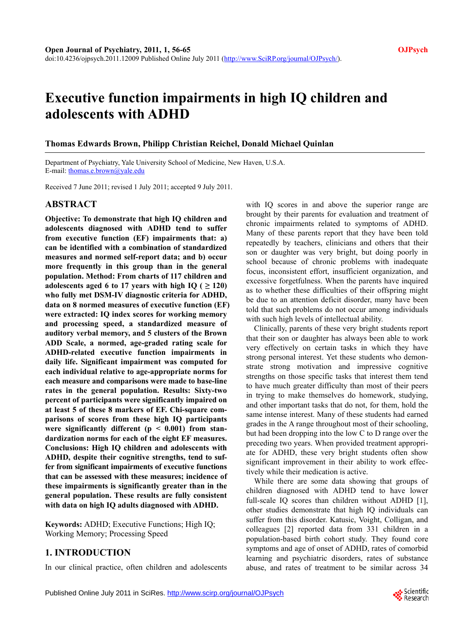# **Executive function impairments in high IQ children and adolescents with ADHD**

## **Thomas Edwards Brown, Philipp Christian Reichel, Donald Michael Quinlan**

Department of Psychiatry, Yale University School of Medicine, New Haven, U.S.A. E-mail: [thomas.e.brown@yale.edu](mailto:thomas.e.brown@yale.edu) 

Received 7 June 2011; revised 1 July 2011; accepted 9 July 2011.

# **ABSTRACT**

**Objective: To demonstrate that high IQ children and adolescents diagnosed with ADHD tend to suffer from executive function (EF) impairments that: a) can be identified with a combination of standardized measures and normed self-report data; and b) occur more frequently in this group than in the general population. Method: From charts of 117 children and**  adolescents aged 6 to 17 years with high IQ ( $\geq$  120) **who fully met DSM-IV diagnostic criteria for ADHD, data on 8 normed measures of executive function (EF) were extracted: IQ index scores for working memory and processing speed, a standardized measure of auditory verbal memory, and 5 clusters of the Brown ADD Scale, a normed, age-graded rating scale for ADHD-related executive function impairments in daily life. Significant impairment was computed for each individual relative to age-appropriate norms for each measure and comparisons were made to base-line rates in the general population. Results: Sixty-two percent of participants were significantly impaired on at least 5 of these 8 markers of EF. Chi-square comparisons of scores from these high IQ participants**  were significantly different ( $p < 0.001$ ) from stan**dardization norms for each of the eight EF measures. Conclusions: High IQ children and adolescents with ADHD, despite their cognitive strengths, tend to suffer from significant impairments of executive functions that can be assessed with these measures; incidence of these impairments is significantly greater than in the general population. These results are fully consistent with data on high IQ adults diagnosed with ADHD.** 

**Keywords:** ADHD; Executive Functions; High IQ; Working Memory; Processing Speed

# **1. INTRODUCTION**

In our clinical practice, often children and adolescents

with IQ scores in and above the superior range are brought by their parents for evaluation and treatment of chronic impairments related to symptoms of ADHD. Many of these parents report that they have been told repeatedly by teachers, clinicians and others that their son or daughter was very bright, but doing poorly in school because of chronic problems with inadequate focus, inconsistent effort, insufficient organization, and excessive forgetfulness. When the parents have inquired as to whether these difficulties of their offspring might be due to an attention deficit disorder, many have been told that such problems do not occur among individuals with such high levels of intellectual ability.

Clinically, parents of these very bright students report that their son or daughter has always been able to work very effectively on certain tasks in which they have strong personal interest. Yet these students who demonstrate strong motivation and impressive cognitive strengths on those specific tasks that interest them tend to have much greater difficulty than most of their peers in trying to make themselves do homework, studying, and other important tasks that do not, for them, hold the same intense interest. Many of these students had earned grades in the A range throughout most of their schooling, but had been dropping into the low C to D range over the preceding two years. When provided treatment appropriate for ADHD, these very bright students often show significant improvement in their ability to work effectively while their medication is active.

While there are some data showing that groups of children diagnosed with ADHD tend to have lower full-scale IQ scores than children without ADHD [1], other studies demonstrate that high IQ individuals can suffer from this disorder. Katusic, Voight, Colligan, and colleagues [2] reported data from 331 children in a population-based birth cohort study. They found core symptoms and age of onset of ADHD, rates of comorbid learning and psychiatric disorders, rates of substance abuse, and rates of treatment to be similar across 34

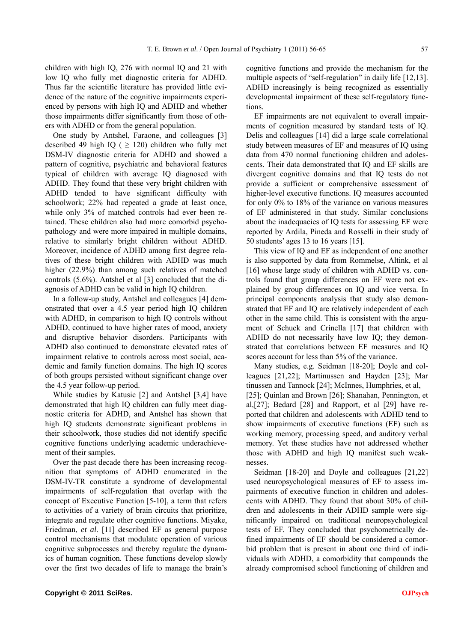children with high IQ, 276 with normal IQ and 21 with low IQ who fully met diagnostic criteria for ADHD. Thus far the scientific literature has provided little evidence of the nature of the cognitive impairments experienced by persons with high IQ and ADHD and whether those impairments differ significantly from those of others with ADHD or from the general population.

One study by Antshel, Faraone, and colleagues [3] described 49 high IQ ( $\geq$  120) children who fully met DSM-IV diagnostic criteria for ADHD and showed a pattern of cognitive, psychiatric and behavioral features typical of children with average IQ diagnosed with ADHD. They found that these very bright children with ADHD tended to have significant difficulty with schoolwork; 22% had repeated a grade at least once, while only 3% of matched controls had ever been retained. These children also had more comorbid psychopathology and were more impaired in multiple domains, relative to similarly bright children without ADHD. Moreover, incidence of ADHD among first degree relatives of these bright children with ADHD was much higher (22.9%) than among such relatives of matched controls (5.6%). Antshel et al [3] concluded that the diagnosis of ADHD can be valid in high IQ children.

In a follow-up study, Antshel and colleagues [4] demonstrated that over a 4.5 year period high IQ children with ADHD, in comparison to high IQ controls without ADHD, continued to have higher rates of mood, anxiety and disruptive behavior disorders. Participants with ADHD also continued to demonstrate elevated rates of impairment relative to controls across most social, academic and family function domains. The high IQ scores of both groups persisted without significant change over the 4.5 year follow-up period.

While studies by Katusic [2] and Antshel [3,4] have demonstrated that high IQ children can fully meet diagnostic criteria for ADHD, and Antshel has shown that high IQ students demonstrate significant problems in their schoolwork, those studies did not identify specific cognitive functions underlying academic underachievement of their samples.

Over the past decade there has been increasing recognition that symptoms of ADHD enumerated in the DSM-IV-TR constitute a syndrome of developmental impairments of self-regulation that overlap with the concept of Executive Function [5-10], a term that refers to activities of a variety of brain circuits that prioritize, integrate and regulate other cognitive functions. Miyake, Friedman, *et al*. [11] described EF as general purpose control mechanisms that modulate operation of various cognitive subprocesses and thereby regulate the dynamics of human cognition. These functions develop slowly over the first two decades of life to manage the brain's cognitive functions and provide the mechanism for the multiple aspects of "self-regulation" in daily life [12,13]. ADHD increasingly is being recognized as essentially developmental impairment of these self-regulatory functions.

EF impairments are not equivalent to overall impairments of cognition measured by standard tests of IQ. Delis and colleagues [14] did a large scale correlational study between measures of EF and measures of IQ using data from 470 normal functioning children and adolescents. Their data demonstrated that IQ and EF skills are divergent cognitive domains and that IQ tests do not provide a sufficient or comprehensive assessment of higher-level executive functions. IQ measures accounted for only 0% to 18% of the variance on various measures of EF administered in that study. Similar conclusions about the inadequacies of IQ tests for assessing EF were reported by Ardila, Pineda and Rosselli in their study of 50 students' ages 13 to 16 years [15].

This view of IQ and EF as independent of one another is also supported by data from Rommelse, Altink, et al [16] whose large study of children with ADHD vs. controls found that group differences on EF were not explained by group differences on IQ and vice versa. In principal components analysis that study also demonstrated that EF and IQ are relatively independent of each other in the same child. This is consistent with the argument of Schuck and Crinella [17] that children with ADHD do not necessarily have low IQ; they demonstrated that correlations between EF measures and IQ scores account for less than 5% of the variance.

Many studies, e.g. Seidman [18-20]; Doyle and colleagues [21,22]; Martinussen and Hayden [23]; Mar tinussen and Tannock [24]; McInnes, Humphries, et al, [25]; Quinlan and Brown [26]; Shanahan, Pennington, et al,[27]; Bedard [28] and Rapport, et al [29] have reported that children and adolescents with ADHD tend to show impairments of executive functions (EF) such as working memory, processing speed, and auditory verbal memory. Yet these studies have not addressed whether those with ADHD and high IQ manifest such weaknesses.

Seidman [18-20] and Doyle and colleagues [21,22] used neuropsychological measures of EF to assess impairments of executive function in children and adolescents with ADHD. They found that about 30% of children and adolescents in their ADHD sample were significantly impaired on traditional neuropsychological tests of EF. They concluded that psychometrically defined impairments of EF should be considered a comorbid problem that is present in about one third of individuals with ADHD, a comorbidity that compounds the already compromised school functioning of children and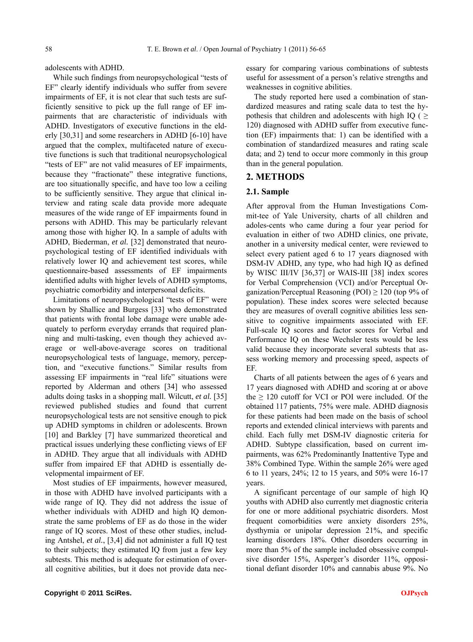adolescents with ADHD.

While such findings from neuropsychological "tests of EF" clearly identify individuals who suffer from severe impairments of EF, it is not clear that such tests are sufficiently sensitive to pick up the full range of EF impairments that are characteristic of individuals with ADHD. Investigators of executive functions in the elderly [30,31] and some researchers in ADHD [6-10] have argued that the complex, multifaceted nature of executive functions is such that traditional neuropsychological "tests of EF" are not valid measures of EF impairments, because they "fractionate" these integrative functions, are too situationally specific, and have too low a ceiling to be sufficiently sensitive. They argue that clinical interview and rating scale data provide more adequate measures of the wide range of EF impairments found in persons with ADHD. This may be particularly relevant among those with higher IQ. In a sample of adults with ADHD, Biederman, *et al.* [32] demonstrated that neuropsychological testing of EF identified individuals with relatively lower IQ and achievement test scores, while questionnaire-based assessments of EF impairments identified adults with higher levels of ADHD symptoms, psychiatric comorbidity and interpersonal deficits.

Limitations of neuropsychological "tests of EF" were shown by Shallice and Burgess [33] who demonstrated that patients with frontal lobe damage were unable adequately to perform everyday errands that required planning and multi-tasking, even though they achieved average or well-above-average scores on traditional neuropsychological tests of language, memory, perception, and "executive functions." Similar results from assessing EF impairments in "real life" situations were reported by Alderman and others [34] who assessed adults doing tasks in a shopping mall. Wilcutt, *et al.* [35] reviewed published studies and found that current neuropsychological tests are not sensitive enough to pick up ADHD symptoms in children or adolescents. Brown [10] and Barkley [7] have summarized theoretical and practical issues underlying these conflicting views of EF in ADHD. They argue that all individuals with ADHD suffer from impaired EF that ADHD is essentially developmental impairment of EF.

Most studies of EF impairments, however measured, in those with ADHD have involved participants with a wide range of IQ. They did not address the issue of whether individuals with ADHD and high IQ demonstrate the same problems of EF as do those in the wider range of IQ scores. Most of these other studies, including Antshel, *et al.*, [3,4] did not administer a full IQ test to their subjects; they estimated IQ from just a few key subtests. This method is adequate for estimation of overall cognitive abilities, but it does not provide data necessary for comparing various combinations of subtests useful for assessment of a person's relative strengths and weaknesses in cognitive abilities.

The study reported here used a combination of standardized measures and rating scale data to test the hypothesis that children and adolescents with high IQ ( $\geq$ 120) diagnosed with ADHD suffer from executive function (EF) impairments that: 1) can be identified with a combination of standardized measures and rating scale data; and 2) tend to occur more commonly in this group than in the general population.

## **2. METHODS**

#### **2.1. Sample**

After approval from the Human Investigations Commit-tee of Yale University, charts of all children and adoles-cents who came during a four year period for evaluation in either of two ADHD clinics, one private, another in a university medical center, were reviewed to select every patient aged 6 to 17 years diagnosed with DSM-IV ADHD, any type, who had high IQ as defined by WISC III/IV [36,37] or WAIS-III [38] index scores for Verbal Comprehension (VCI) and/or Perceptual Organization/Perceptual Reasoning (POI)  $\geq$  120 (top 9% of population). These index scores were selected because they are measures of overall cognitive abilities less sensitive to cognitive impairments associated with EF. Full-scale IQ scores and factor scores for Verbal and Performance IQ on these Wechsler tests would be less valid because they incorporate several subtests that assess working memory and processing speed, aspects of EF.

Charts of all patients between the ages of 6 years and 17 years diagnosed with ADHD and scoring at or above the  $\geq$  120 cutoff for VCI or POI were included. Of the obtained 117 patients, 75% were male. ADHD diagnosis for these patients had been made on the basis of school reports and extended clinical interviews with parents and child. Each fully met DSM-IV diagnostic criteria for ADHD. Subtype classification, based on current impairments, was 62% Predominantly Inattentive Type and 38% Combined Type. Within the sample 26% were aged 6 to 11 years, 24%; 12 to 15 years, and 50% were 16-17 years.

A significant percentage of our sample of high IQ youths with ADHD also currently met diagnostic criteria for one or more additional psychiatric disorders. Most frequent comorbidities were anxiety disorders 25%, dysthymia or unipolar depression 21%, and specific learning disorders 18%. Other disorders occurring in more than 5% of the sample included obsessive compulsive disorder 15%, Asperger's disorder 11%, oppositional defiant disorder 10% and cannabis abuse 9%. No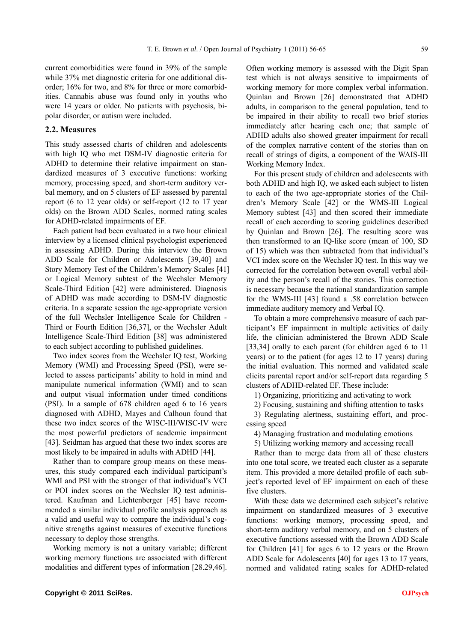current comorbidities were found in 39% of the sample while 37% met diagnostic criteria for one additional disorder; 16% for two, and 8% for three or more comorbidities. Cannabis abuse was found only in youths who were 14 years or older. No patients with psychosis, bipolar disorder, or autism were included.

#### **2.2. Measures**

This study assessed charts of children and adolescents with high IQ who met DSM-IV diagnostic criteria for ADHD to determine their relative impairment on standardized measures of 3 executive functions: working memory, processing speed, and short-term auditory verbal memory, and on 5 clusters of EF assessed by parental report (6 to 12 year olds) or self-report (12 to 17 year olds) on the Brown ADD Scales, normed rating scales for ADHD-related impairments of EF.

Each patient had been evaluated in a two hour clinical interview by a licensed clinical psychologist experienced in assessing ADHD. During this interview the Brown ADD Scale for Children or Adolescents [39,40] and Story Memory Test of the Children's Memory Scales [41] or Logical Memory subtest of the Wechsler Memory Scale-Third Edition [42] were administered. Diagnosis of ADHD was made according to DSM-IV diagnostic criteria. In a separate session the age-appropriate version of the full Wechsler Intelligence Scale for Children - Third or Fourth Edition [36,37], or the Wechsler Adult Intelligence Scale-Third Edition [38] was administered to each subject according to published guidelines.

Two index scores from the Wechsler IQ test, Working Memory (WMI) and Processing Speed (PSI), were selected to assess participants' ability to hold in mind and manipulate numerical information (WMI) and to scan and output visual information under timed conditions (PSI). In a sample of 678 children aged 6 to 16 years diagnosed with ADHD, Mayes and Calhoun found that these two index scores of the WISC-III/WISC-IV were the most powerful predictors of academic impairment [43]. Seidman has argued that these two index scores are most likely to be impaired in adults with ADHD [44].

Rather than to compare group means on these measures, this study compared each individual participant's WMI and PSI with the stronger of that individual's VCI or POI index scores on the Wechsler IQ test administered. Kaufman and Lichtenberger [45] have recommended a similar individual profile analysis approach as a valid and useful way to compare the individual's cognitive strengths against measures of executive functions necessary to deploy those strengths.

Working memory is not a unitary variable; different working memory functions are associated with different modalities and different types of information [28.29,46].

Often working memory is assessed with the Digit Span test which is not always sensitive to impairments of working memory for more complex verbal information. Quinlan and Brown [26] demonstrated that ADHD adults, in comparison to the general population, tend to be impaired in their ability to recall two brief stories immediately after hearing each one; that sample of ADHD adults also showed greater impairment for recall of the complex narrative content of the stories than on recall of strings of digits, a component of the WAIS-III Working Memory Index.

For this present study of children and adolescents with both ADHD and high IQ, we asked each subject to listen to each of the two age-appropriate stories of the Children's Memory Scale [42] or the WMS-III Logical Memory subtest [43] and then scored their immediate recall of each according to scoring guidelines described by Quinlan and Brown [26]. The resulting score was then transformed to an IQ-like score (mean of 100, SD of 15) which was then subtracted from that individual's VCI index score on the Wechsler IQ test. In this way we corrected for the correlation between overall verbal ability and the person's recall of the stories. This correction is necessary because the national standardization sample for the WMS-III [43] found a .58 correlation between immediate auditory memory and Verbal IQ.

To obtain a more comprehensive measure of each participant's EF impairment in multiple activities of daily life, the clinician administered the Brown ADD Scale [33,34] orally to each parent (for children aged 6 to 11 years) or to the patient (for ages 12 to 17 years) during the initial evaluation. This normed and validated scale elicits parental report and/or self-report data regarding 5 clusters of ADHD-related EF. These include:

1) Organizing, prioritizing and activating to work

2) Focusing, sustaining and shifting attention to tasks

3) Regulating alertness, sustaining effort, and processing speed

4) Managing frustration and modulating emotions

5) Utilizing working memory and accessing recall

Rather than to merge data from all of these clusters into one total score, we treated each cluster as a separate item. This provided a more detailed profile of each subject's reported level of EF impairment on each of these five clusters.

With these data we determined each subject's relative impairment on standardized measures of 3 executive functions: working memory, processing speed, and short-term auditory verbal memory, and on 5 clusters of executive functions assessed with the Brown ADD Scale for Children [41] for ages 6 to 12 years or the Brown ADD Scale for Adolescents [40] for ages 13 to 17 years, normed and validated rating scales for ADHD-related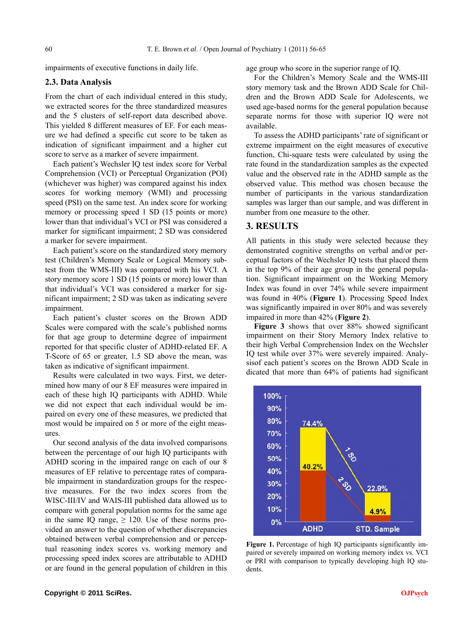impairments of executive functions in daily life.

## **2.3. Data Analysis**

From the chart of each individual entered in this study, we extracted scores for the three standardized measures and the 5 clusters of self-report data described above. This yielded 8 different measures of EF. For each measure we had defined a specific cut score to be taken as indication of significant impairment and a higher cut score to serve as a marker of severe impairment.

Each patient's Wechsler IQ test index score for Verbal Comprehension (VCI) or Perceptual Organization (POI) (whichever was higher) was compared against his index scores for working memory (WMI) and processing speed (PSI) on the same test. An index score for working memory or processing speed 1 SD (15 points or more) lower than that individual's VCI or PSI was considered a marker for significant impairment; 2 SD was considered a marker for severe impairment.

Each patient's score on the standardized story memory test (Children's Memory Scale or Logical Memory subtest from the WMS-III) was compared with his VCI. A story memory score 1 SD (15 points or more) lower than that individual's VCI was considered a marker for significant impairment; 2 SD was taken as indicating severe impairment.

Each patient's cluster scores on the Brown ADD Scales were compared with the scale's published norms for that age group to determine degree of impairment reported for that specific cluster of ADHD-related EF. A T-Score of 65 or greater, 1.5 SD above the mean, was taken as indicative of significant impairment.

Results were calculated in two ways. First, we determined how many of our 8 EF measures were impaired in each of these high IQ participants with ADHD. While we did not expect that each individual would be impaired on every one of these measures, we predicted that most would be impaired on 5 or more of the eight measures.

Our second analysis of the data involved comparisons between the percentage of our high IQ participants with ADHD scoring in the impaired range on each of our 8 measures of EF relative to percentage rates of comparable impairment in standardization groups for the respective measures. For the two index scores from the WISC-III/IV and WAIS-III published data allowed us to compare with general population norms for the same age in the same IQ range,  $\geq$  120. Use of these norms provided an answer to the question of whether discrepancies obtained between verbal comprehension and or perceptual reasoning index scores vs. working memory and processing speed index scores are attributable to ADHD or are found in the general population of children in this age group who score in the superior range of IQ.

For the Children's Memory Scale and the WMS-III story memory task and the Brown ADD Scale for Children and the Brown ADD Scale for Adolescents, we used age-based norms for the general population because separate norms for those with superior IQ were not available.

To assess the ADHD participants' rate of significant or extreme impairment on the eight measures of executive function, Chi-square tests were calculated by using the rate found in the standardization samples as the expected value and the observed rate in the ADHD sample as the observed value. This method was chosen because the number of participants in the various standardization samples was larger than our sample, and was different in number from one measure to the other.

# **3. RESULTS**

All patients in this study were selected because they demonstrated cognitive strengths on verbal and/or perceptual factors of the Wechsler IQ tests that placed them in the top 9% of their age group in the general population. Significant impairment on the Working Memory Index was found in over 74% while severe impairment was found in 40% (**Figure 1**). Processing Speed Index was significantly impaired in over 80% and was severely impaired in more than 42% (**Figure 2**).

Figure 3 shows that over 88% showed significant impairment on their Story Memory Index relative to their high Verbal Comprehension Index on the Wechsler IQ test while over 37% were severely impaired. Analysisof each patient's scores on the Brown ADD Scale in dicated that more than 64% of patients had significant



**Figure 1.** Percentage of high IQ participants significantly impaired or severely impaired on working memory index vs. VCI or PRI with comparison to typically developing high IQ students.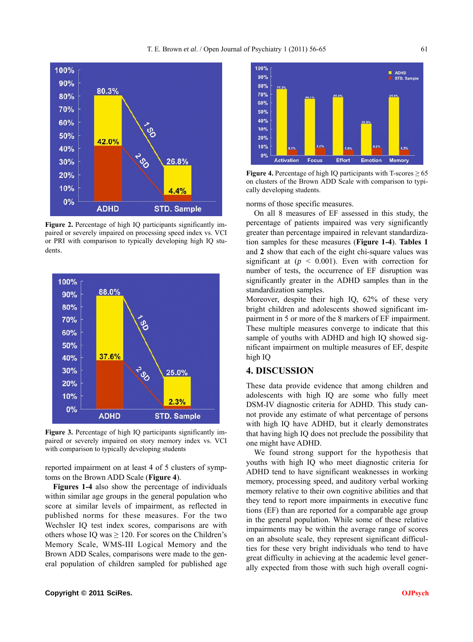

**Figure 2.** Percentage of high IQ participants significantly impaired or severely impaired on processing speed index vs. VCI or PRI with comparison to typically developing high IQ students.



Figure 3. Percentage of high IQ participants significantly impaired or severely impaired on story memory index vs. VCI with comparison to typically developing students

reported impairment on at least 4 of 5 clusters of symptoms on the Brown ADD Scale (**Figure 4**).

**Figures 1-4** also show the percentage of individuals within similar age groups in the general population who score at similar levels of impairment, as reflected in published norms for these measures. For the two Wechsler IQ test index scores, comparisons are with others whose IQ was  $\geq$  120. For scores on the Children's Memory Scale, WMS-III Logical Memory and the Brown ADD Scales, comparisons were made to the general population of children sampled for published age



**Figure 4.** Percentage of high IQ participants with T-scores  $\geq 65$ on clusters of the Brown ADD Scale with comparison to typically developing students.

norms of those specific measures.

On all 8 measures of EF assessed in this study, the percentage of patients impaired was very significantly greater than percentage impaired in relevant standardization samples for these measures (**Figure 1-4**). **Tables 1** and **2** show that each of the eight chi-square values was significant at  $(p \le 0.001)$ . Even with correction for number of tests, the occurrence of EF disruption was significantly greater in the ADHD samples than in the standardization samples.

Moreover, despite their high IQ, 62% of these very bright children and adolescents showed significant impairment in 5 or more of the 8 markers of EF impairment. These multiple measures converge to indicate that this sample of youths with ADHD and high IQ showed significant impairment on multiple measures of EF, despite high IQ

## **4. DISCUSSION**

These data provide evidence that among children and adolescents with high IQ are some who fully meet DSM-IV diagnostic criteria for ADHD. This study cannot provide any estimate of what percentage of persons with high IQ have ADHD, but it clearly demonstrates that having high IQ does not preclude the possibility that one might have ADHD.

We found strong support for the hypothesis that youths with high IQ who meet diagnostic criteria for ADHD tend to have significant weaknesses in working memory, processing speed, and auditory verbal working memory relative to their own cognitive abilities and that they tend to report more impairments in executive func tions (EF) than are reported for a comparable age group in the general population. While some of these relative impairments may be within the average range of scores on an absolute scale, they represent significant difficulties for these very bright individuals who tend to have great difficulty in achieving at the academic level generally expected from those with such high overall cogni-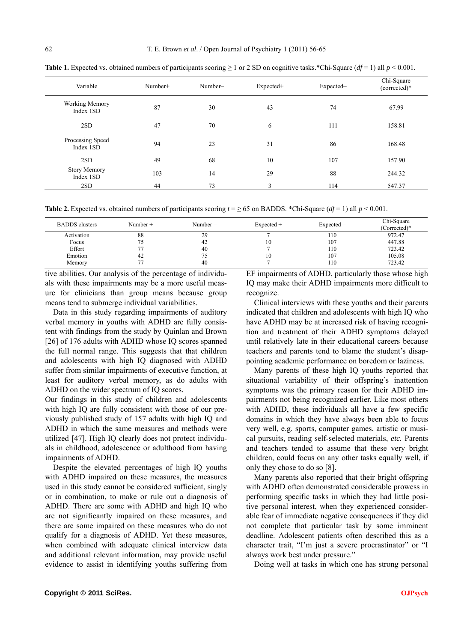| Variable                         | Number+ | Number- | Expected+ | Expected- | Chi-Square<br>(corrected)* |
|----------------------------------|---------|---------|-----------|-----------|----------------------------|
| Working Memory<br>Index 1SD      | 87      | 30      | 43        | 74        | 67.99                      |
| 2SD                              | 47      | 70      | 6         | 111       | 158.81                     |
| Processing Speed<br>Index 1SD    | 94      | 23      | 31        | 86        | 168.48                     |
| 2SD                              | 49      | 68      | 10        | 107       | 157.90                     |
| <b>Story Memory</b><br>Index 1SD | 103     | 14      | 29        | 88        | 244.32                     |
| 2SD                              | 44      | 73      | 3         | 114       | 547.37                     |

**Table 1.** Expected vs. obtained numbers of participants scoring  $\geq 1$  or 2 SD on cognitive tasks.\*Chi-Square (*df* = 1) all  $p < 0.001$ .

**Table 2.** Expected vs. obtained numbers of participants scoring  $t = \ge 65$  on BADDS. \*Chi-Square ( $df = 1$ ) all  $p < 0.001$ .

| <b>BADDS</b> clusters | Number $+$ | Number $-$ | $Expected +$ | Expected – | Chi-Square<br>(Corrected)* |
|-----------------------|------------|------------|--------------|------------|----------------------------|
| Activation            | 88         | 29         |              | 110        | 972.47                     |
| Focus                 | 75         | 42         | 10           | 107        | 447.88                     |
| Effort                |            | 40         |              | 110        | 723.42                     |
| Emotion               | 42         |            | 10           | 107        | 105.08                     |
| Memory                |            | 40         |              | 110        | 723.42                     |

tive abilities. Our analysis of the percentage of individuals with these impairments may be a more useful measure for clinicians than group means because group means tend to submerge individual variabilities.

Data in this study regarding impairments of auditory verbal memory in youths with ADHD are fully consistent with findings from the study by Quinlan and Brown [26] of 176 adults with ADHD whose IQ scores spanned the full normal range. This suggests that that children and adolescents with high IQ diagnosed with ADHD suffer from similar impairments of executive function, at least for auditory verbal memory, as do adults with ADHD on the wider spectrum of IQ scores.

Our findings in this study of children and adolescents with high IQ are fully consistent with those of our previously published study of 157 adults with high IQ and ADHD in which the same measures and methods were utilized [47]. High IQ clearly does not protect individuals in childhood, adolescence or adulthood from having impairments of ADHD.

Despite the elevated percentages of high IQ youths with ADHD impaired on these measures, the measures used in this study cannot be considered sufficient, singly or in combination, to make or rule out a diagnosis of ADHD. There are some with ADHD and high IQ who are not significantly impaired on these measures, and there are some impaired on these measures who do not qualify for a diagnosis of ADHD. Yet these measures, when combined with adequate clinical interview data and additional relevant information, may provide useful evidence to assist in identifying youths suffering from

EF impairments of ADHD, particularly those whose high IQ may make their ADHD impairments more difficult to recognize.

Clinical interviews with these youths and their parents indicated that children and adolescents with high IQ who have ADHD may be at increased risk of having recognition and treatment of their ADHD symptoms delayed until relatively late in their educational careers because teachers and parents tend to blame the student's disappointing academic performance on boredom or laziness.

Many parents of these high IQ youths reported that situational variability of their offspring's inattention symptoms was the primary reason for their ADHD impairments not being recognized earlier. Like most others with ADHD, these individuals all have a few specific domains in which they have always been able to focus very well, e.g. sports, computer games, artistic or musical pursuits, reading self-selected materials, *etc.* Parents and teachers tended to assume that these very bright children, could focus on any other tasks equally well, if only they chose to do so [8].

Many parents also reported that their bright offspring with ADHD often demonstrated considerable prowess in performing specific tasks in which they had little positive personal interest, when they experienced considerable fear of immediate negative consequences if they did not complete that particular task by some imminent deadline. Adolescent patients often described this as a character trait, "I'm just a severe procrastinator" or "I always work best under pressure."

Doing well at tasks in which one has strong personal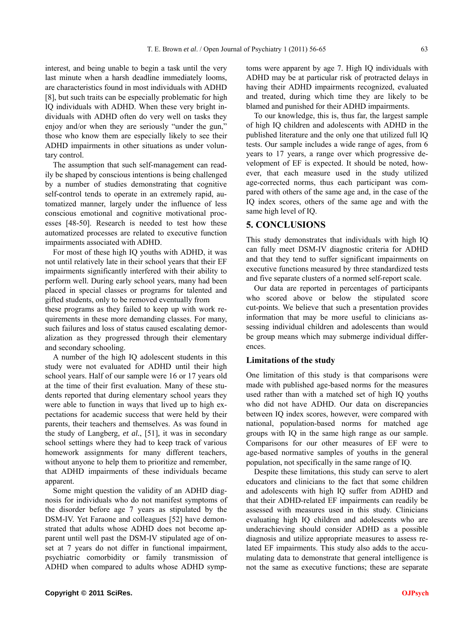interest, and being unable to begin a task until the very last minute when a harsh deadline immediately looms, are characteristics found in most individuals with ADHD [8], but such traits can be especially problematic for high IQ individuals with ADHD. When these very bright individuals with ADHD often do very well on tasks they enjoy and/or when they are seriously "under the gun," those who know them are especially likely to see their ADHD impairments in other situations as under voluntary control.

The assumption that such self-management can readily be shaped by conscious intentions is being challenged by a number of studies demonstrating that cognitive self-control tends to operate in an extremely rapid, automatized manner, largely under the influence of less conscious emotional and cognitive motivational processes [48-50]. Research is needed to test how these automatized processes are related to executive function impairments associated with ADHD.

For most of these high IQ youths with ADHD, it was not until relatively late in their school years that their EF impairments significantly interfered with their ability to perform well. During early school years, many had been placed in special classes or programs for talented and gifted students, only to be removed eventually from these programs as they failed to keep up with work requirements in these more demanding classes. For many, such failures and loss of status caused escalating demor-

alization as they progressed through their elementary and secondary schooling. A number of the high IQ adolescent students in this study were not evaluated for ADHD until their high school years. Half of our sample were 16 or 17 years old at the time of their first evaluation. Many of these students reported that during elementary school years they were able to function in ways that lived up to high expectations for academic success that were held by their parents, their teachers and themselves. As was found in the study of Langberg, *et al.*, [51], it was in secondary school settings where they had to keep track of various homework assignments for many different teachers, without anyone to help them to prioritize and remember, that ADHD impairments of these individuals became

Some might question the validity of an ADHD diagnosis for individuals who do not manifest symptoms of the disorder before age 7 years as stipulated by the DSM-IV. Yet Faraone and colleagues [52] have demonstrated that adults whose ADHD does not become apparent until well past the DSM-IV stipulated age of onset at 7 years do not differ in functional impairment, psychiatric comorbidity or family transmission of ADHD when compared to adults whose ADHD symptoms were apparent by age 7. High IQ individuals with ADHD may be at particular risk of protracted delays in having their ADHD impairments recognized, evaluated and treated, during which time they are likely to be blamed and punished for their ADHD impairments.

To our knowledge, this is, thus far, the largest sample of high IQ children and adolescents with ADHD in the published literature and the only one that utilized full IQ tests. Our sample includes a wide range of ages, from 6 years to 17 years, a range over which progressive development of EF is expected. It should be noted, however, that each measure used in the study utilized age-corrected norms, thus each participant was compared with others of the same age and, in the case of the IQ index scores, others of the same age and with the same high level of IQ.

# **5. CONCLUSIONS**

This study demonstrates that individuals with high IQ can fully meet DSM-IV diagnostic criteria for ADHD and that they tend to suffer significant impairments on executive functions measured by three standardized tests and five separate clusters of a normed self-report scale.

Our data are reported in percentages of participants who scored above or below the stipulated score cut-points. We believe that such a presentation provides information that may be more useful to clinicians assessing individual children and adolescents than would be group means which may submerge individual differences.

## **Limitations of the study**

One limitation of this study is that comparisons were made with published age-based norms for the measures used rather than with a matched set of high IQ youths who did not have ADHD. Our data on discrepancies between IQ index scores, however, were compared with national, population-based norms for matched age groups with IQ in the same high range as our sample. Comparisons for our other measures of EF were to age-based normative samples of youths in the general population, not specifically in the same range of IQ.

Despite these limitations, this study can serve to alert educators and clinicians to the fact that some children and adolescents with high IQ suffer from ADHD and that their ADHD-related EF impairments can readily be assessed with measures used in this study. Clinicians evaluating high IQ children and adolescents who are underachieving should consider ADHD as a possible diagnosis and utilize appropriate measures to assess related EF impairments. This study also adds to the accumulating data to demonstrate that general intelligence is not the same as executive functions; these are separate

apparent.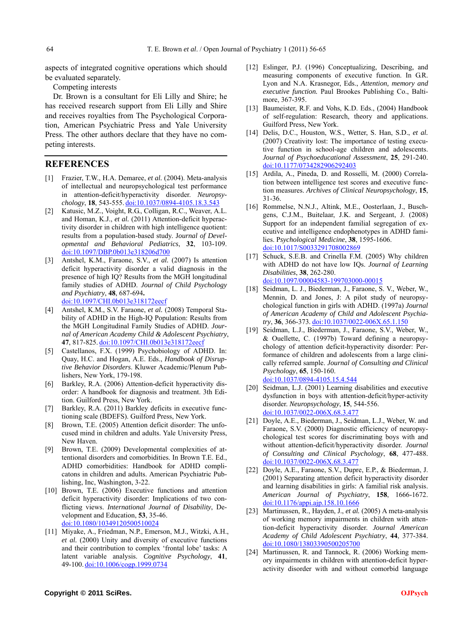aspects of integrated cognitive operations which should be evaluated separately.

Competing interests

Dr. Brown is a consultant for Eli Lilly and Shire; he has received research support from Eli Lilly and Shire and receives royalties from The Psychological Corporation, American Psychiatric Press and Yale University Press. The other authors declare that they have no competing interests.

## **REFERENCES**

- [1] Frazier, T.W., H.A. Demaree, *et al.* (2004). Meta-analysis of intellectual and neuropsychological test performance in attention-deficit/hyperactivity disorder. *Neuropsychology*, **18**, 543-555. [doi:10.1037/0894-4105.18.3.543](http://dx.doi.org/10.1037/0894-4105.18.3.543)
- [2] Katusic, M.Z., Voight, R.G., Colligan, R.C., Weaver, A.L. and Homan, K.J., *et al.* (2011) Attention-deficit hyperactivity disorder in children with high intelligence quotient: results from a population-based study. J*ournal of Developmental and Behavioral Pediatrics*, **32**, 103-109. [doi:10.1097/DBP.0b013e318206d700](http://dx.doi.org/10.1097/DBP.0b013e318206d700)
- [3] Antshel, K.M., Faraone, S.V., *et al.* (2007) Is attention deficit hyperactivity disorder a valid diagnosis in the presence of high IQ? Results from the MGH longitudinal family studies of ADHD. *Journal of Child Psychology and Psychiatry*, **48**, 687-694**.** [doi:10.1097/CHI.0b013e318172eecf](http://dx.doi.org/10.1097/CHI.0b013e318172eecf)
- [4] Antshel, K.M., S.V. Faraone, *et al.* (2008) Temporal Stability of ADHD in the High-IQ Population: Results from the MGH Longitudinal Family Studies of ADHD. *Journal of American Academy Child & Adolescent Psychiatry*, **47**, 817-825. [doi:10.1097/CHI.0b013e318172eecf](http://dx.doi.org/10.1097/CHI.0b013e318172eecf)
- [5] Castellanos, F.X. (1999) Psychobiology of ADHD. In: Quay, H.C. and Hogan, A.E. Eds., *Handbook of Disruptive Behavior Disorders*. Kluwer Academic/Plenum Publishers, New York, 179-198.
- [6] Barkley, R.A. (2006) Attention-deficit hyperactivity disorder: A handbook for diagnosis and treatment. 3th Edition. Guilford Press, New York.
- [7] Barkley, R.A. (2011) Barkley deficits in executive functioning scale (BDEFS). Guilford Press, New York.
- [8] Brown, T.E. (2005) Attention deficit disorder: The unfocused mind in children and adults. Yale University Press, New Haven.
- [9] Brown, T.E. (2009) Developmental complexities of attentional disorders and comorbidities. In Brown T.E. Ed., ADHD comorbidities: Handbook for ADHD complicatons in children and adults. American Psychiatric Publishing, Inc, Washington, 3-22.
- [10] Brown, T.E. (2006) Executive functions and attention deficit hyperactivity disorder: Implications of two conflicting views. *International Journal of Disability*, Development and Education, **53**, 35-46. [doi:10.1080/10349120500510024](http://dx.doi.org/10.1080/10349120500510024)
- [11] Miyake, A., Friedman, N.P., Emerson, M.J., Witzki, A.H., *et al.* (2000) Unity and diversity of executive functions and their contribution to complex 'frontal lobe' tasks: A latent variable analysis. *Cognitive Psychology*, **41**, 49-100. [doi:10.1006/cogp.1999.0734](http://dx.doi.org/10.1006/cogp.1999.0734)
- [12] Eslinger, P.J. (1996) Conceptualizing, Describing, and measuring components of executive function. In G.R. Lyon and N.A. Krasnegor, Eds., *Attention, memory and executive function.* Paul Brookes Publishing Co., Baltimore, 367-395.
- [13] Baumeister, R.F. and Vohs, K.D. Eds., (2004) Handbook of self-regulation: Research, theory and applications. Guilford Press, New York.
- [14] Delis, D.C., Houston, W.S., Wetter, S. Han, S.D., *et al.* (2007) Creativity lost: The importance of testing executive function in school-age children and adolescents. *Journal of Psychoeducational Assessment*, **25**, 291-240. [doi:10.1177/0734282906292403](http://dx.doi.org/10.1177/0734282906292403)
- [15] Ardila, A., Pineda, D. and Rosselli, M. (2000) Correlation between intelligence test scores and executive function measures. *Archives of Clinical Neuropsychology*, **15**, 31-36.
- [16] Rommelse, N.N.J., Altink, M.E., Oosterlaan, J., Buschgens, C.J.M., Buitelaar, J.K. and Sergeant, J. (2008) Support for an independent familial segregation of executive and intelligence endophenotypes in ADHD families. P*sychological Medicine*, **38**, 1595-1606. [doi:10.1017/S0033291708002869](http://dx.doi.org/10.1017/S0033291708002869)
- [17] Schuck, S.E.B. and Crinella F.M. (2005) Why children with ADHD do not have low IQs. *Journal of Learning Disabilities*, **38**, 262-280. [doi:10.1097/00004583-199703000-00015](http://dx.doi.org/10.1097/00004583-199703000-00015)
- [18] Seidman, L. J., Biederman, J., Faraone, S. V., Weber, W., Mennin, D. and Jones, J: A pilot study of neuropsychological function in girls with ADHD. (1997a) *Journal of American Academy of Child and Adolescent Psychiatry*, **36**, 366-373. [doi:10.1037/0022-006X.65.1.150](http://dx.doi.org/10.1037/0022-006X.65.1.150)
- [19] Seidman, L.J., Biederman, J., Faraone, S.V., Weber, W., & Ouellette, C. (1997b) Toward defining a neuropsychology of attention deficit-hyperactivity disorder: Performance of children and adolescents from a large clinically referred sample. *Journal of Consulting and Clinical Psychology*, **65**, 150-160. [doi:10.1037/0894-4105.15.4.544](http://dx.doi.org/10.1037/0894-4105.15.4.544)
- [20] Seidman, L.J. (2001) Learning disabilities and executive dysfunction in boys with attention-deficit/hyper-activity disorder. *Neuropsychology*, **15**, 544-556. [doi:10.1037/0022-006X.68.3.477](http://dx.doi.org/10.1037/0022-006X.68.3.477)
- [21] Doyle, A.E., Biederman, J., Seidman, L.J., Weber, W. and Faraone, S.V. (2000) Diagnostic efficiency of neuropsychological test scores for discriminating boys with and without attention-deficit/hyperactivity disorder. *Journal of Consulting and Clinical Psychology*, **68**, 477-488. [doi:10.1037/0022-006X.68.3.477](http://dx.doi.org/10.1037/0022-006X.68.3.477)
- [22] Doyle, A.E., Faraone, S.V., Dupre, E.P., & Biederman, J. (2001) Separating attention deficit hyperactivity disorder and learning disabilities in girls: A familial risk analysis. *American Journal of Psychiatry*, **158**, 1666-1672. [doi:10.1176/appi.ajp.158.10.1666](http://dx.doi.org/10.1176/appi.ajp.158.10.1666)
- [23] Martinussen, R., Hayden, J., *et al.* (2005) A meta-analysis of working memory impairments in children with attention-deficit hyperactivity disorder. *Journal American Academy of Child Adolescent Psychiatry*, **44**, 377-384. [doi:10.1080/13803390500205700](http://dx.doi.org/10.1080/13803390500205700)
- [24] Martinussen, R. and Tannock, R. (2006) Working memory impairments in children with attention-deficit hyperactivity disorder with and without comorbid language